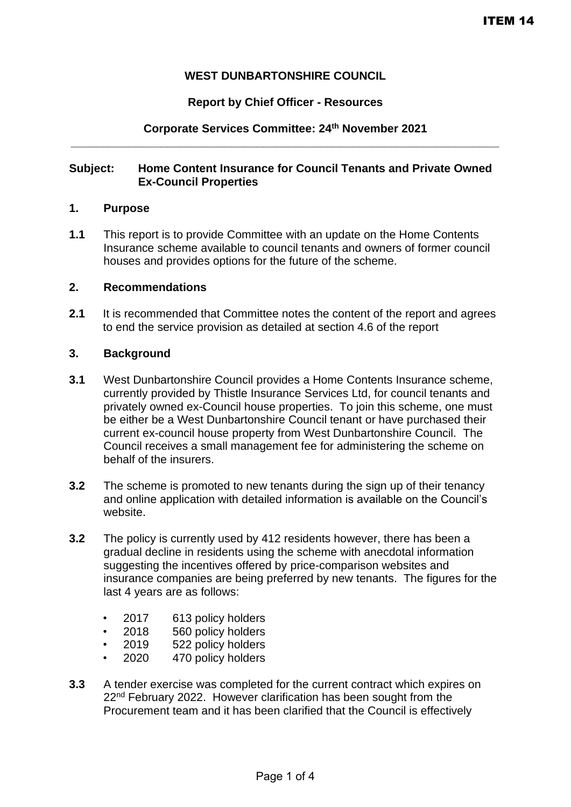## **WEST DUNBARTONSHIRE COUNCIL**

### **Report by Chief Officer - Resources**

## **Corporate Services Committee: 24th November 2021 \_\_\_\_\_\_\_\_\_\_\_\_\_\_\_\_\_\_\_\_\_\_\_\_\_\_\_\_\_\_\_\_\_\_\_\_\_\_\_\_\_\_\_\_\_\_\_\_\_\_\_\_\_\_\_\_\_\_\_\_\_\_\_\_\_\_\_**

#### **Subject: Home Content Insurance for Council Tenants and Private Owned Ex-Council Properties**

#### **1. Purpose**

**1.1** This report is to provide Committee with an update on the Home Contents Insurance scheme available to council tenants and owners of former council houses and provides options for the future of the scheme.

### **2. Recommendations**

**2.1** It is recommended that Committee notes the content of the report and agrees to end the service provision as detailed at section 4.6 of the report

## **3. Background**

- **3.1** West Dunbartonshire Council provides a Home Contents Insurance scheme, currently provided by Thistle Insurance Services Ltd, for council tenants and privately owned ex-Council house properties. To join this scheme, one must be either be a West Dunbartonshire Council tenant or have purchased their current ex-council house property from West Dunbartonshire Council. The Council receives a small management fee for administering the scheme on behalf of the insurers.
- **3.2** The scheme is promoted to new tenants during the sign up of their tenancy and online application with detailed information is available on the Council's website.
- **3.2** The policy is currently used by 412 residents however, there has been a gradual decline in residents using the scheme with anecdotal information suggesting the incentives offered by price-comparison websites and insurance companies are being preferred by new tenants. The figures for the last 4 years are as follows:
	- 2017 613 policy holders
	- 2018 560 policy holders
	- 2019 522 policy holders
	- 2020 470 policy holders
- **3.3** A tender exercise was completed for the current contract which expires on 22<sup>nd</sup> February 2022. However clarification has been sought from the Procurement team and it has been clarified that the Council is effectively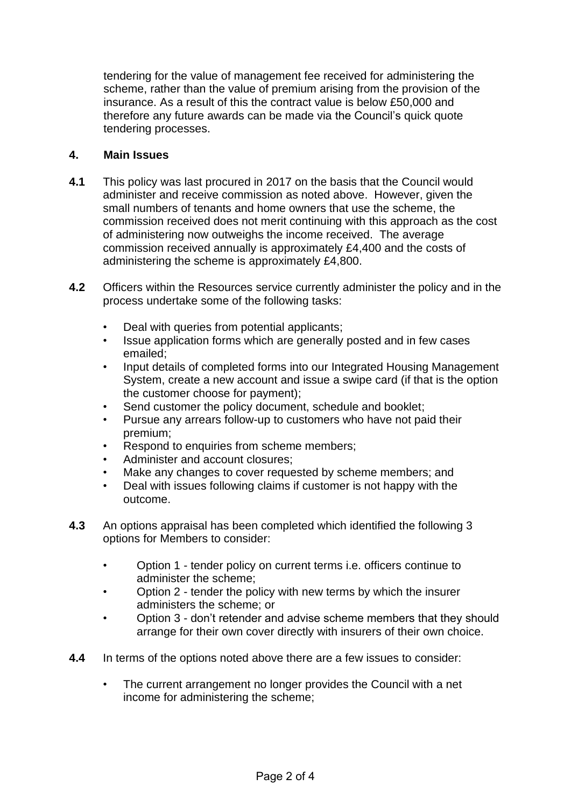tendering for the value of management fee received for administering the scheme, rather than the value of premium arising from the provision of the insurance. As a result of this the contract value is below £50,000 and therefore any future awards can be made via the Council's quick quote tendering processes.

## **4. Main Issues**

- **4.1** This policy was last procured in 2017 on the basis that the Council would administer and receive commission as noted above. However, given the small numbers of tenants and home owners that use the scheme, the commission received does not merit continuing with this approach as the cost of administering now outweighs the income received. The average commission received annually is approximately £4,400 and the costs of administering the scheme is approximately £4,800.
- **4.2** Officers within the Resources service currently administer the policy and in the process undertake some of the following tasks:
	- Deal with queries from potential applicants;
	- Issue application forms which are generally posted and in few cases emailed;
	- Input details of completed forms into our Integrated Housing Management System, create a new account and issue a swipe card (if that is the option the customer choose for payment);
	- Send customer the policy document, schedule and booklet;
	- Pursue any arrears follow-up to customers who have not paid their premium;
	- Respond to enquiries from scheme members;
	- Administer and account closures;
	- Make any changes to cover requested by scheme members; and
	- Deal with issues following claims if customer is not happy with the outcome.
- **4.3** An options appraisal has been completed which identified the following 3 options for Members to consider:
	- Option 1 tender policy on current terms i.e. officers continue to administer the scheme;
	- Option 2 tender the policy with new terms by which the insurer administers the scheme; or
	- Option 3 don't retender and advise scheme members that they should arrange for their own cover directly with insurers of their own choice.
- **4.4** In terms of the options noted above there are a few issues to consider:
	- The current arrangement no longer provides the Council with a net income for administering the scheme;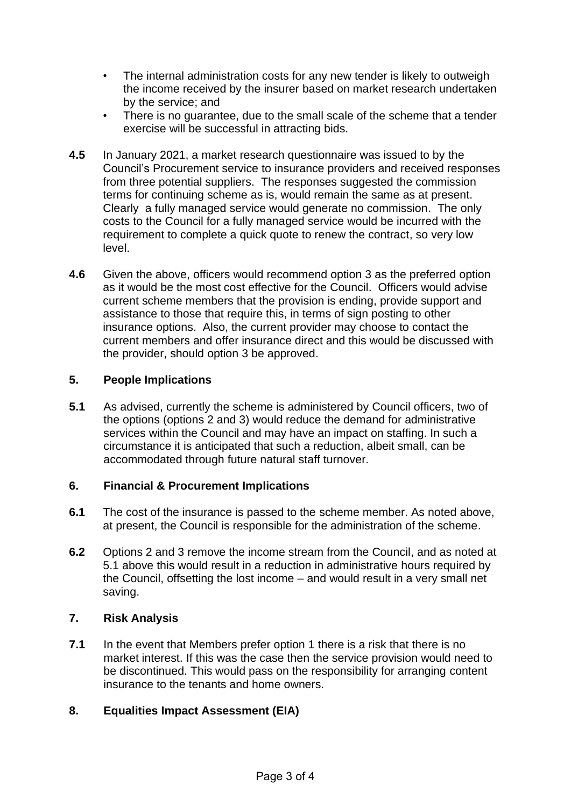- The internal administration costs for any new tender is likely to outweigh the income received by the insurer based on market research undertaken by the service; and
- There is no guarantee, due to the small scale of the scheme that a tender exercise will be successful in attracting bids.
- **4.5** In January 2021, a market research questionnaire was issued to by the Council's Procurement service to insurance providers and received responses from three potential suppliers. The responses suggested the commission terms for continuing scheme as is, would remain the same as at present. Clearly a fully managed service would generate no commission. The only costs to the Council for a fully managed service would be incurred with the requirement to complete a quick quote to renew the contract, so very low level.
- **4.6** Given the above, officers would recommend option 3 as the preferred option as it would be the most cost effective for the Council. Officers would advise current scheme members that the provision is ending, provide support and assistance to those that require this, in terms of sign posting to other insurance options. Also, the current provider may choose to contact the current members and offer insurance direct and this would be discussed with the provider, should option 3 be approved.

# **5. People Implications**

**5.1** As advised, currently the scheme is administered by Council officers, two of the options (options 2 and 3) would reduce the demand for administrative services within the Council and may have an impact on staffing. In such a circumstance it is anticipated that such a reduction, albeit small, can be accommodated through future natural staff turnover.

# **6. Financial & Procurement Implications**

- **6.1** The cost of the insurance is passed to the scheme member. As noted above, at present, the Council is responsible for the administration of the scheme.
- **6.2** Options 2 and 3 remove the income stream from the Council, and as noted at 5.1 above this would result in a reduction in administrative hours required by the Council, offsetting the lost income – and would result in a very small net saving.

# **7. Risk Analysis**

**7.1** In the event that Members prefer option 1 there is a risk that there is no market interest. If this was the case then the service provision would need to be discontinued. This would pass on the responsibility for arranging content insurance to the tenants and home owners.

# **8. Equalities Impact Assessment (EIA)**